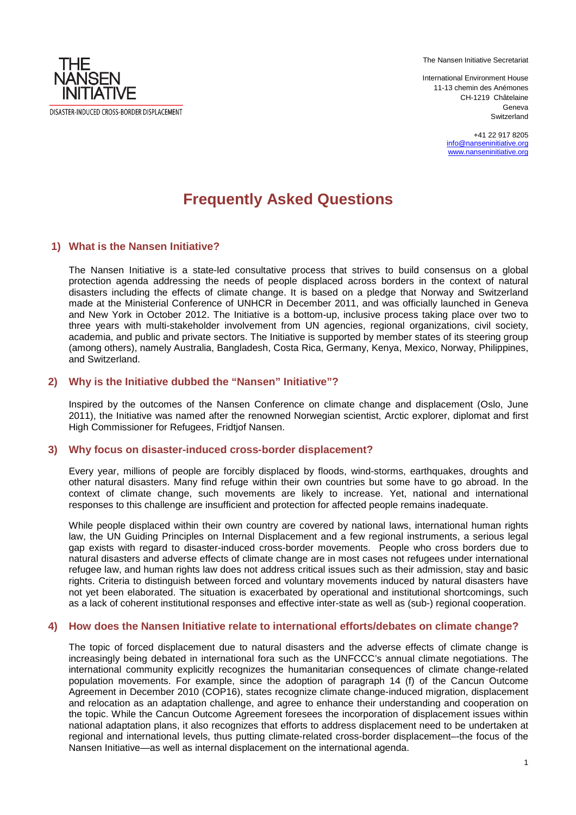The Nansen Initiative Secretariat

International Environment House 11-13 chemin des Anémones CH-1219 Châtelaine Geneva **Switzerland** 

> +41 22 917 8205 info@nanseninitiative.org www.nanseninitiative.org

# **Frequently Asked Questions**

### **1) What is the Nansen Initiative?**

DISASTER-INDUCED CROSS-BORDER DISPLACEMENT

THF **NANSEN INITIATIVE** 

> The Nansen Initiative is a state-led consultative process that strives to build consensus on a global The Nansen Initiative is a state-led consultative process that strives to build consensus on a global<br>protection agenda addressing the needs of people displaced across borders in the context of natural disasters including the effects of climate change. It is b based on a pledge that Norway and Switzerland made at the Ministerial Conference of UNHCR in December 2011, and was officially launched in Geneva and New York in October 2012. The Initiative is a bottom-up, inclusive process taking place over two to three years with multi-stakeholder involvement from UN agencies, regional organizations, civil society, academia, and public and private sectors. The Initiative is supported by member states of its steering group (among others), namely Australia, Bangladesh, Costa Rica, Germany, Kenya, Mexico, Norway, Philippines, and Switzerland.

#### 2) Why is the Initiative dubbed the "Nansen" Initiative"?

Inspired by the outcomes of the Nansen Conference on climate change and displacement (Oslo, June 2011), the Initiative was named after the renowned Norwegian scientist, Arctic explorer, diplomat and first High Commissioner for Refugees s, Fridtjof Nansen.

#### **3) Why focus on disaster-induced cross induced cross-border displacement?**

Every year, millions of people are forcibly displaced by floods, wind-storms, earthquakes, droughts and other natural disasters. Many find refuge within their own countries but some have to go abroad. In the Every year, millions of people are forcibly displaced by floods, wind-storms, earthquakes, droughts and<br>other natural disasters. Many find refuge within their own countries but some have to go abroad. In the<br>context of cli responses to this challenge are insufficient and protection for affected people remains inadequate.

While people displaced within their own country are covered by national laws, international human rights law, the UN Guiding Principles on Internal Displacement and a few regional instruments, a serious legal gap exists with regard to disaster-induced cross-border movements. People who cross borders due to natural disasters and adverse effects of climate change are in most cases not refugees under international refugee law, and human rights law does not address critical issues such as their admission, stay and basic rights. Criteria to distinguish between forced and voluntary movements induced by natural disasters have not yet been elaborated. The situation is exacerbated by operational and institutional shortcomings, such as a lack of coherent institutional responses and effective inter inter-state as well as (sub oluntary movements induced by natural disasters have<br>ted by operational and institutional shortcomings, such<br>ective inter-state as well as (sub-) regional cooperation.

#### **4) How does the Nansen Initiative relate to international efforts/debates on climate change?**

The topic of forced displacement due to natural disasters and the adverse effects of climate change is increasingly being debated in international fora such as the UNFCCC's annual climate negotiations. The international community explicitly recognizes the humanitarian consequences of climate change change-related population movements. For example, since the adoption of paragraph 14 (f) of the Cancun Outcome Agreement in December 2010 (COP16), states recognize climate change-induced migration, displacement Agreement in December 2010 (COP16), states recognize climate change-induced migration, displacement<br>and relocation as an adaptation challenge, and agree to enhance their understanding and cooperation on the topic. While the Cancun Outcome Agreement foresees the incorporation of displacement issues within national adaptation plans, it also recognizes that efforts to address displacement need to be undertaken at regional and international levels, thus putting climate-related cross-border displacement--the focus of the Nansen Initiative—as well as internal displacement on the international agenda.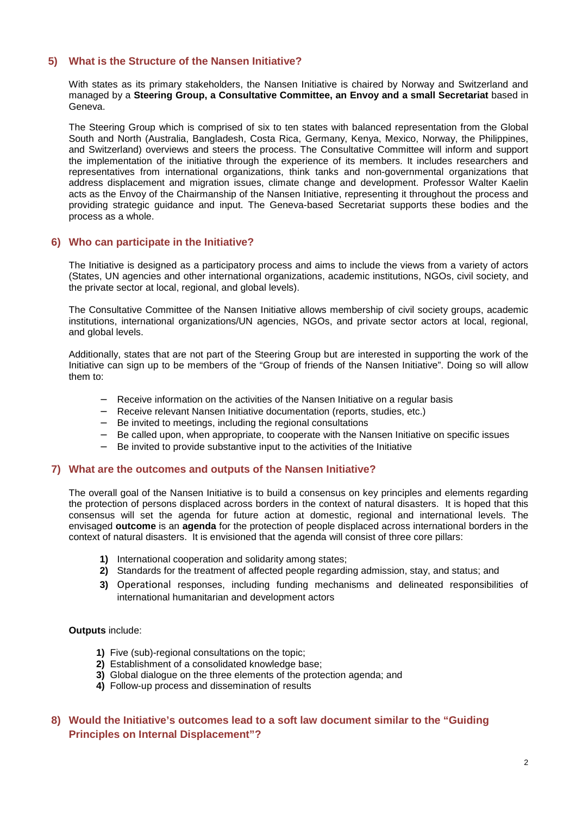### **5) What is the Structure of the Nansen Initiative?**

With states as its primary stakeholders, the Nansen Initiative is chaired by Norway and Switzerland and managed by a **Steering Group, a Consultative Committee, an Envoy and a small Secretariat** based in Geneva.

The Steering Group which is comprised of six to ten states with balanced representation from the Global South and North (Australia, Bangladesh, Costa Rica, Germany, Kenya, Mexico, Norway, the Philippines, and Switzerland) overviews and steers the process. The Consultative Committee will inform and support the implementation of the initiative through the experience of its members. It includes researchers and representatives from international organizations, think tanks and non-governmental organizations that address displacement and migration issues, climate change and development. Professor Walter Kaelin acts as the Envoy of the Chairmanship of the Nansen Initiative, representing it throughout the process and providing strategic guidance and input. The Geneva-based Secretariat supports these bodies and the process as a whole.

### **6) Who can participate in the Initiative?**

The Initiative is designed as a participatory process and aims to include the views from a variety of actors (States, UN agencies and other international organizations, academic institutions, NGOs, civil society, and the private sector at local, regional, and global levels).

The Consultative Committee of the Nansen Initiative allows membership of civil society groups, academic institutions, international organizations/UN agencies, NGOs, and private sector actors at local, regional, and global levels.

Additionally, states that are not part of the Steering Group but are interested in supporting the work of the Initiative can sign up to be members of the "Group of friends of the Nansen Initiative". Doing so will allow them to:

- − Receive information on the activities of the Nansen Initiative on a regular basis
- − Receive relevant Nansen Initiative documentation (reports, studies, etc.)
- − Be invited to meetings, including the regional consultations
- − Be called upon, when appropriate, to cooperate with the Nansen Initiative on specific issues
- − Be invited to provide substantive input to the activities of the Initiative

#### **7) What are the outcomes and outputs of the Nansen Initiative?**

The overall goal of the Nansen Initiative is to build a consensus on key principles and elements regarding the protection of persons displaced across borders in the context of natural disasters. It is hoped that this consensus will set the agenda for future action at domestic, regional and international levels. The envisaged **outcome** is an **agenda** for the protection of people displaced across international borders in the context of natural disasters. It is envisioned that the agenda will consist of three core pillars:

- **1)** International cooperation and solidarity among states;
- **2)** Standards for the treatment of affected people regarding admission, stay, and status; and
- **3)** Operational responses, including funding mechanisms and delineated responsibilities of international humanitarian and development actors

#### **Outputs** include:

- **1)** Five (sub)-regional consultations on the topic;
- **2)** Establishment of a consolidated knowledge base;
- **3)** Global dialogue on the three elements of the protection agenda; and
- **4)** Follow-up process and dissemination of results

## **8) Would the Initiative's outcomes lead to a soft law document similar to the "Guiding Principles on Internal Displacement"?**